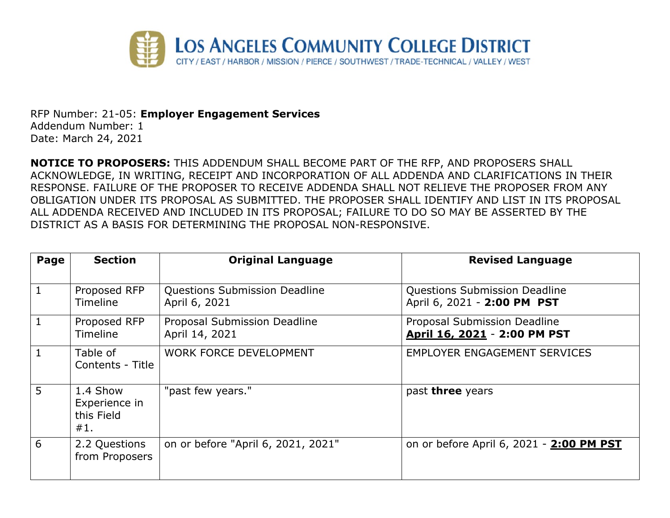

RFP Number: 21-05: **Employer Engagement Services** Addendum Number: 1 Date: March 24, 2021

**NOTICE TO PROPOSERS:** THIS ADDENDUM SHALL BECOME PART OF THE RFP, AND PROPOSERS SHALL ACKNOWLEDGE, IN WRITING, RECEIPT AND INCORPORATION OF ALL ADDENDA AND CLARIFICATIONS IN THEIR RESPONSE. FAILURE OF THE PROPOSER TO RECEIVE ADDENDA SHALL NOT RELIEVE THE PROPOSER FROM ANY OBLIGATION UNDER ITS PROPOSAL AS SUBMITTED. THE PROPOSER SHALL IDENTIFY AND LIST IN ITS PROPOSAL ALL ADDENDA RECEIVED AND INCLUDED IN ITS PROPOSAL; FAILURE TO DO SO MAY BE ASSERTED BY THE DISTRICT AS A BASIS FOR DETERMINING THE PROPOSAL NON-RESPONSIVE.

| Page         | <b>Section</b>                                 | <b>Original Language</b>                              | <b>Revised Language</b>                                             |
|--------------|------------------------------------------------|-------------------------------------------------------|---------------------------------------------------------------------|
| $\mathbf{1}$ | Proposed RFP<br><b>Timeline</b>                | <b>Questions Submission Deadline</b><br>April 6, 2021 | <b>Questions Submission Deadline</b><br>April 6, 2021 - 2:00 PM PST |
| $\mathbf{1}$ | Proposed RFP<br><b>Timeline</b>                | Proposal Submission Deadline<br>April 14, 2021        | Proposal Submission Deadline<br>April 16, 2021 - 2:00 PM PST        |
| $\mathbf{1}$ | Table of<br>Contents - Title                   | <b>WORK FORCE DEVELOPMENT</b>                         | <b>EMPLOYER ENGAGEMENT SERVICES</b>                                 |
| 5            | 1.4 Show<br>Experience in<br>this Field<br>#1. | "past few years."                                     | past three years                                                    |
| 6            | 2.2 Questions<br>from Proposers                | on or before "April 6, 2021, 2021"                    | on or before April 6, 2021 - 2:00 PM PST                            |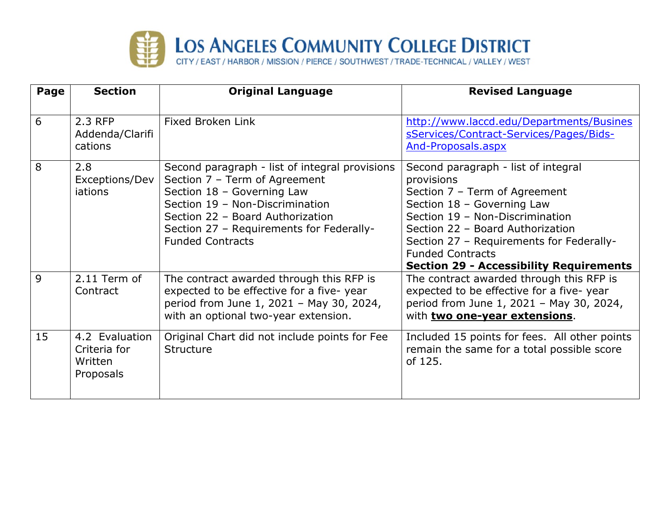

| Page | <b>Section</b>                                         | <b>Original Language</b>                                                                                                                                                                                                                                    | <b>Revised Language</b>                                                                                                                                                                                                                                                                                          |
|------|--------------------------------------------------------|-------------------------------------------------------------------------------------------------------------------------------------------------------------------------------------------------------------------------------------------------------------|------------------------------------------------------------------------------------------------------------------------------------------------------------------------------------------------------------------------------------------------------------------------------------------------------------------|
| 6    | 2.3 RFP<br>Addenda/Clarifi<br>cations                  | <b>Fixed Broken Link</b>                                                                                                                                                                                                                                    | http://www.laccd.edu/Departments/Busines<br>sServices/Contract-Services/Pages/Bids-<br>And-Proposals.aspx                                                                                                                                                                                                        |
| 8    | 2.8<br>Exceptions/Dev<br><i>iations</i>                | Second paragraph - list of integral provisions<br>Section 7 - Term of Agreement<br>Section 18 - Governing Law<br>Section 19 - Non-Discrimination<br>Section 22 - Board Authorization<br>Section 27 - Requirements for Federally-<br><b>Funded Contracts</b> | Second paragraph - list of integral<br>provisions<br>Section 7 - Term of Agreement<br>Section 18 - Governing Law<br>Section 19 - Non-Discrimination<br>Section 22 - Board Authorization<br>Section 27 - Requirements for Federally-<br><b>Funded Contracts</b><br><b>Section 29 - Accessibility Requirements</b> |
| 9    | 2.11 Term of<br>Contract                               | The contract awarded through this RFP is<br>expected to be effective for a five-year<br>period from June 1, 2021 - May 30, 2024,<br>with an optional two-year extension.                                                                                    | The contract awarded through this RFP is<br>expected to be effective for a five-year<br>period from June 1, 2021 - May 30, 2024,<br>with two one-year extensions.                                                                                                                                                |
| 15   | 4.2 Evaluation<br>Criteria for<br>Written<br>Proposals | Original Chart did not include points for Fee<br><b>Structure</b>                                                                                                                                                                                           | Included 15 points for fees. All other points<br>remain the same for a total possible score<br>of 125.                                                                                                                                                                                                           |